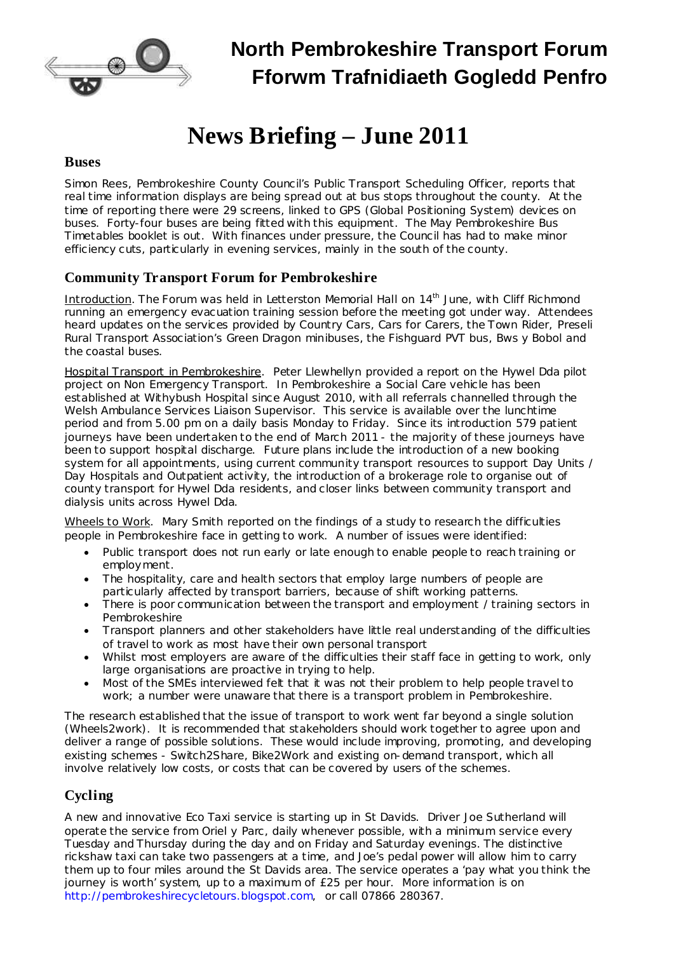

## **North Pembrokeshire Transport Forum Fforwm Trafnidiaeth Gogledd Penfro**

# **News Briefing – June 2011**

#### **Buses**

Simon Rees, Pembrokeshire County Council's Public Transport Scheduling Officer, reports that real time information displays are being spread out at bus stops throughout the county. At the time of reporting there were 29 screens, linked to GPS (Global Positioning System) devices on buses. Forty-four buses are being fitted with this equipment. The May Pembrokeshire Bus Timetables booklet is out. With finances under pressure, the Council has had to make minor efficiency cuts, particularly in evening services, mainly in the south of the county.

### **Community Transport Forum for Pembrokeshire**

Introduction. The Forum was held in Letterston Memorial Hall on 14<sup>th</sup> June, with Cliff Richmond running an emergency evacuation training session before the meeting got under way. Attendees heard updates on the services provided by Country Cars, Cars for Carers, the Town Rider, Preseli Rural Transport Association's Green Dragon minibuses, the Fishguard PVT bus, Bws y Bobol and the coastal buses.

Hospital Transport in Pembrokeshire. Peter Llewhellyn provided a report on the Hywel Dda pilot project on Non Emergency Transport. In Pembrokeshire a Social Care vehicle has been established at Withybush Hospital since August 2010, with all referrals channelled through the Welsh Ambulance Services Liaison Supervisor. This service is available over the lunchtime period and from 5.00 pm on a daily basis Monday to Friday. Since its introduction 579 patient journeys have been undertaken to the end of March 2011 - the majority of these journeys have been to support hospital discharge. Future plans include the introduction of a new booking system for all appointments, using current community transport resources to support Day Units / Day Hospitals and Outpatient activity, the introduction of a brokerage role to organise out of county transport for Hywel Dda residents, and closer links between community transport and dialysis units across Hywel Dda.

Wheels to Work. Mary Smith reported on the findings of a study to research the difficulties people in Pembrokeshire face in getting to work. A number of issues were identified:

- · Public transport does not run early or late enough to enable people to reach training or employment.
- · The hospitality, care and health sectors that employ large numbers of people are particularly affected by transport barriers, because of shift working patterns.
- There is poor communication between the transport and employment / training sectors in Pembrokeshire
- · Transport planners and other stakeholders have little real understanding of the difficulties of travel to work as most have their own personal transport
- · Whilst most employers are aware of the difficulties their staff face in getting to work, only large organisations are proactive in trying to help.
- · Most of the SMEs interviewed felt that it was not their problem to help people travelto work; a number were unaware that there is a transport problem in Pembrokeshire.

The research established that the issue of transport to work went far beyond a single solution (Wheels2work). It is recommended that stakeholders should work together to agree upon and deliver a range of possible solutions. These would include improving, promoting, and developing existing schemes - Switch2Share, Bike2Work and existing on-demand transport, which all involve relatively low costs, or costs that can be covered by users of the schemes.

### **Cycling**

A new and innovative Eco Taxi service is starting up in St Davids. Driver Joe Sutherland will operate the service from Oriel y Parc, daily whenever possible, with a minimum service every Tuesday and Thursday during the day and on Friday and Saturday evenings. The distinctive rickshaw taxi can take two passengers at a time, and Joe's pedal power will allow him to carry them up to four miles around the St Davids area. The service operates a 'pay what you think the journey is worth' system, up to a maximum of £25 per hour. More information is on [http://pembrokeshirecycletours.blogspot.com,](http://pembrokeshirecycletours.blogspot.com/) or call 07866 280367.